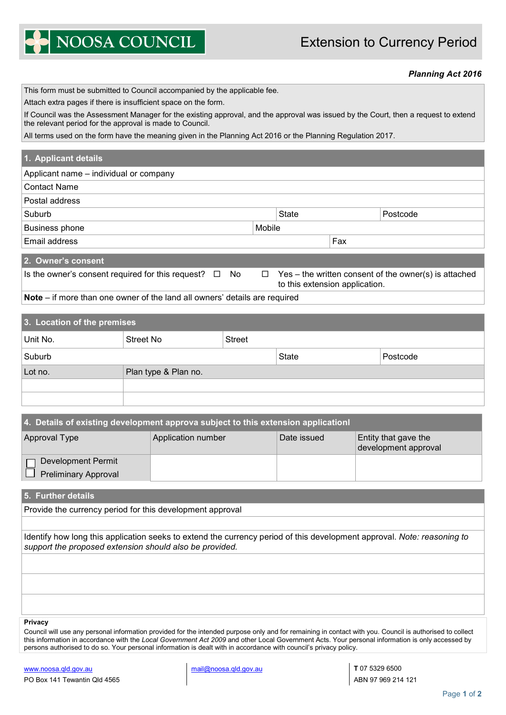## Extension to Currency Period

NOOSA COUNCIL

## *Planning Act 2016*

| This form must be submitted to Council accompanied by the applicable fee.                                                                                                                       |                      |               |  |              |  |          |  |
|-------------------------------------------------------------------------------------------------------------------------------------------------------------------------------------------------|----------------------|---------------|--|--------------|--|----------|--|
| Attach extra pages if there is insufficient space on the form.                                                                                                                                  |                      |               |  |              |  |          |  |
| If Council was the Assessment Manager for the existing approval, and the approval was issued by the Court, then a request to extend<br>the relevant period for the approval is made to Council. |                      |               |  |              |  |          |  |
| All terms used on the form have the meaning given in the Planning Act 2016 or the Planning Regulation 2017.                                                                                     |                      |               |  |              |  |          |  |
|                                                                                                                                                                                                 |                      |               |  |              |  |          |  |
| 1. Applicant details                                                                                                                                                                            |                      |               |  |              |  |          |  |
| Applicant name - individual or company                                                                                                                                                          |                      |               |  |              |  |          |  |
| <b>Contact Name</b>                                                                                                                                                                             |                      |               |  |              |  |          |  |
| Postal address                                                                                                                                                                                  |                      |               |  |              |  |          |  |
| Suburb                                                                                                                                                                                          |                      |               |  | <b>State</b> |  | Postcode |  |
| Mobile<br><b>Business phone</b>                                                                                                                                                                 |                      |               |  |              |  |          |  |
| Email address                                                                                                                                                                                   |                      |               |  | Fax          |  |          |  |
|                                                                                                                                                                                                 |                      |               |  |              |  |          |  |
| 2. Owner's consent                                                                                                                                                                              |                      |               |  |              |  |          |  |
| Is the owner's consent required for this request?<br>Yes – the written consent of the owner(s) is attached<br>No<br>$\Box$<br>П<br>to this extension application.                               |                      |               |  |              |  |          |  |
| Note – if more than one owner of the land all owners' details are required                                                                                                                      |                      |               |  |              |  |          |  |
|                                                                                                                                                                                                 |                      |               |  |              |  |          |  |
| 3. Location of the premises                                                                                                                                                                     |                      |               |  |              |  |          |  |
| Unit No.                                                                                                                                                                                        | <b>Street No</b>     | <b>Street</b> |  |              |  |          |  |
| Suburb                                                                                                                                                                                          |                      |               |  | <b>State</b> |  | Postcode |  |
| Lot no.                                                                                                                                                                                         | Plan type & Plan no. |               |  |              |  |          |  |
|                                                                                                                                                                                                 |                      |               |  |              |  |          |  |
|                                                                                                                                                                                                 |                      |               |  |              |  |          |  |

## **4. Details of existing development approva subject to this extension applicationl** Approval Type Application number Date issued Entity that gave the development approval Development Permit  $\Box$  Preliminary Approval

**5. Further details**

Provide the currency period for this development approval

Identify how long this application seeks to extend the currency period of this development approval. *Note: reasoning to support the proposed extension should also be provided.*

## **Privacy**

Council will use any personal information provided for the intended purpose only and for remaining in contact with you. Council is authorised to collect this information in accordance with the *Local Government Act 2009* and other Local Government Acts. Your personal information is only accessed by persons authorised to do so. Your personal information is dealt with in accordance with council's privacy policy.